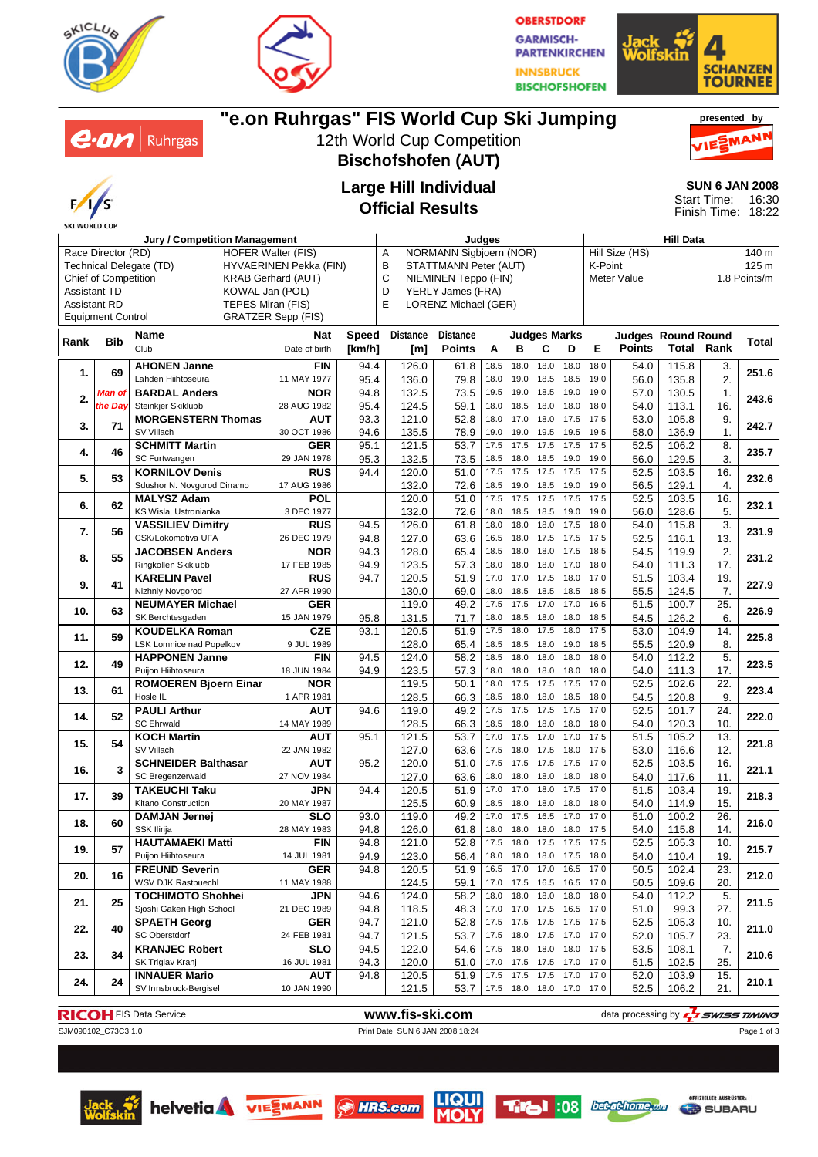



**OBERSTDORF GARMISCH-PARTENKIRCHEN INNSBRUCK BISCHOFSHOFEN** 



#### **"e.on Ruhrgas" FIS World Cup Ski Jumping presented by**  $e$ *on* | Ruhrgas MAN 12th World Cup Competition **Bischofshofen (AUT) Large Hill Individual SUN 6 JAN 2008** Start Time: 16:30 **Official Results** Finish Time: 18:22 **Jury / Competition Management Judges Hill Data** A NORMANN Sigbjoern (NOR) Hill Size (HS) 140 m Race Director (RD) HOFER Walter (FIS) Technical Delegate (TD) HYVAERINEN Pekka (FIN) B STATTMANN Peter (AUT) K-Point 125 m Chief of Competition KRAB Gerhard (AUT) C NIEMINEN Teppo (FIN) Meter Value 1.8 Points/m Assistant TD KOWAL Jan (POL) D YERLY James (FRA) E LORENZ Michael (GER) Assistant RD TEPES Miran (FIS) Equipment Control GRATZER Sepp (FIS) **Rank Bib Name Nat Speed Distance Distance Judges Marks Judges Round Round Rank Total [km/h] Points** Date of birth **[m] ABCDE Points Total 1.** 69 **AHONEN Janne** FIN<br>
Lahden Hiihtoseura **11 MAY 1977** Lahden Hiihtoseura 11 MAY 1977 **251.6** 94.4 126.0 61.8 18.5 18.0 18.0 18.0 18.0 54.0 115.8 3. 95.4 | 136.0 | 79.8 |18.0 19.0 18.5 18.5 19.0 | 56.0 | 135.8 | 2. **2.** Man of **BARDAL Anders NOR**<br>*the Day* Steinkier Skiklubb **28 AUG 1982** Steinkjer Skiklubb 28 AUG 1982 **243.6** 94.8 132.5 73.5 19.5 19.0 18.5 19.0 19.0 57.0 130.5 1. 95.4 | 124.5 | 59.1 | 18.0 18.5 18.0 18.0 18.0 | 54.0 | 113.1 | 16. **3.** 71 **MORGENSTERN Thomas AUT AUT SV Villach 30 OCT 1986** SV Villach 30 OCT 1986 **242.7** 93.3 121.0 52.8 18.0 17.0 18.0 17.5 17.5 53.0 105.8 9. 94.6 | 135.5 | 78.9 | 19.0 19.0 19.5 19.5 19.5 | 58.0 | 136.9 | 1. **4.** 46 **SCHMITT Martin GER**<br>SC Furtwangen 29 JAN 1978 SC Furtwangen 29 JAN 1978 **235.7** 95.1 121.5 53.7 17.5 17.5 17.5 17.5 17.5 52.5 106.2 8. 95.3 | 132.5 | 73.5 | 18.5 18.0 18.5 19.0 19.0 | 56.0 | 129.5 | 3. **5.** 53 **KORNILOV Denis RUS**<br> **5.** 53 Sdushor N. Novgorod Dinamo 17 AUG 1986 Sdushor N. Novgorod Dinamo 17 AUG 1986 **232.6** 94.4 120.0 51.0 17.5 17.5 17.5 17.5 17.5 52.5 103.5 16. 132.0 72.6 18.5 19.0 18.5 19.0 19.0 56.5 129.1 4. **6. 62 MALYSZ Adam POL**<br>**6. 62 KS Wisla, Ustronianka** 3 DEC 1977 KS Wisla, Ustronianka 3 DEC 1977 **232.1** 120.0 51.0 17.5 17.5 17.5 17.5 17.5 52.5 103.5 16. 132.0 72.6 18.0 18.5 18.5 19.0 19.0 56.0 128.6 5. **7. 56 VASSILIEV Dimitry RUS VASSILIEV Dimitry RUS 94.5 126.0 61.8 18.0 18.0 17.5 18.0 54.0 115.8 3. 3. 231.9<br>CSK/Lokomotiva UFA 26 DEC 1979 94.8 127.0 63.6 16.5** 94.8 | 127.0 | 63.6 | 16.5 18.0 17.5 17.5 17.5 | 52.5 | 116.1 | 13. **8.** 55 JACOBSEN Anders NOR<br>Ringkollen Skiklubb 17 FEB 1985 Ringkollen Skiklubb 17 FEB 1985 **231.2** 94.3 128.0 65.4 18.5 18.0 18.0 17.5 18.5 54.5 119.9 2. 94.9 | 123.5 | 57.3 |18.0 18.0 18.0 17.0 18.0 | 54.0 | 111.3 | 17. **9.** 41 **KARELIN Pavel** RUS<br>Nizhniv Novgorod 27 APR 1990 **KARELIN Pavel RUS** 94.7 120.5 51.9 17.0 17.0 17.5 18.0 17.0 51.5 103.4 19. 227.9 27.9 130.0 69.0 18.0 18.5 18.5 18.5 18.5 55.5 124.5 7. **10.** 63 **NEUMAYER Michael GER**<br>SK Berchtesgaden 15 JAN 1979 SK Berchtesgaden 15 JAN 1979 **226.9** 119.0 49.2 17.5 17.5 17.0 17.0 16.5 51.5 100.7 25. 95.8 | 131.5 | 71.7 | 18.0 18.5 18.0 18.0 18.5 | 54.5 | 126.2 | 6. **11.** 59 **KOUDELKA Roman CZE**<br> **11.** 59 **KSK** Lomnice nad Popelkov 9 JUL 1989 LSK Lomnice nad Popelkov 9 JUL 1989 **225.8** 93.1 120.5 51.9 17.5 18.0 17.5 18.0 17.5 53.0 104.9 14. 128.0 65.4 18.5 18.5 18.0 19.0 18.5 55.5 120.9 8. **12.** 49 **HAPPONEN Janne** FIN<br> **12. 149 Puijon Hiihtoseura** 18 JUN 1984 Puijon Hiihtoseura 18 JUN 1984 **223.5** 94.5 124.0 58.2 18.5 18.0 18.0 18.0 18.0 54.0 112.2 5. 94.9 | 123.5 | 57.3 | 18.0 18.0 18.0 18.0 18.0 | 54.0 | 111.3 | 17. **13.** 61 **ROMOEREN Bjoern Einar NOR**<br>1 APR 1981 **ROMOEREN Bjoern Einar NOR |** 119.5 | 50.1 | 18.0 17.5 17.5 17.5 17.0 | 52.5 | 102.6 | 22. | 223.4<br>Hosle IL 1 APR 1981 | | 128.5 | 66.3 | 18.5 18.0 18.0 18.5 18.0 | 54.5 | 120.8 | 9. | 223.4 128.5 66.3 18.5 18.0 18.0 18.5 18.0 54.5 120.8 9. **14. 52 PAULI Arthur AUT** SC Ehrwald 14 MAY 1989 **222.0** 94.6 119.0 49.2 17.5 17.5 17.5 17.5 17.0 52.5 101.7 24. 128.5 66.3 18.5 18.0 18.0 18.0 18.0 54.0 120.3 10. **15. 54 KOCH Martin 611 <b>AUT**<br>SV Villach 22 JAN 1982 SV Villach 22 JAN 1982 **221.8** 95.1 121.5 53.7 17.0 17.5 17.0 17.0 17.5 51.5 105.2 13. 127.0 63.6 17.5 18.0 17.5 18.0 17.5 53.0 116.6 12. **16. 3 SCHNEIDER Balthasar AUT**<br>**16. 3 SC Bregenzerwald 27 NOV 1984** SC Bregenzerwald 27 NOV 1984 **221.1** 95.2 120.0 51.0 17.5 17.5 17.5 17.5 17.0 52.5 103.5 16. 127.0 63.6 18.0 18.0 18.0 18.0 18.0 54.0 117.6 11. **17. 39 TAKEUCHI Taku JPN** Kitano Construction 20 MAY 1987 **218.3** 94.4 120.5 51.9 17.0 17.0 18.0 17.5 17.0 51.5 103.4 19. 125.5 60.9 18.5 18.0 18.0 18.0 18.0 54.0 114.9 15. **18.** 60 **DAMJAN Jernej SLO**<br> **18.** 60 **SSK Ilirija** 28 MAY 1983 SSK Ilirija 28 MAY 1983 **216.0** 93.0 119.0 49.2 17.0 17.5 16.5 17.0 17.0 51.0 100.2 26. 94.8 | 126.0 | 61.8 |18.0 18.0 18.0 18.0 17.5 | 54.0 | 115.8 | 14. **19.** 57 **HAUTAMAEKI Matti FIN**<br>**14 JUL 1981** Puijon Hiihtoseura 14 JUL 1981 **215.7** 94.8 121.0 52.8 17.5 18.0 17.5 17.5 17.5 52.5 105.3 10. 94.9 | 123.0 | 56.4 | 18.0 18.0 18.0 17.5 18.0 | 54.0 | 110.4 | 19.

**SKI WORLD CUP** 

Club

*Man of*

**20.** 16 **FREUND Severin GER**<br>**20.** 16 **WSV DJK Rastbuechl 11 MAY 1988** 

**21. 25 TOCHIMOTO Shohhei JPN**<br>Sjoshi Gaken High School **21 DEC 1989** 

**22.** 40 **SPAETH Georg** GER<br> **24 FEB 1981** 

**23.** 34 **KRANJEC Robert SLO**<br>16 JUL 1981

**24. 24 INNAUER Mario AUT**<br>SV Innsbruck-Bergisel **2011** 10 JAN 1990

#### **RICOH** FIS Data Service **www.fis-ski.com www.fis-ski.com** data processing by  $\frac{1}{2}$  **swiss TIMING**

WSV DJK Rastbuechl 11 MAY 1988 **212.0** 94.8 120.5 51.9 16.5 17.0 17.0 16.5 17.0 50.5 102.4 23.

Sjoshi Gaken High School 21 DEC 1989 **211.5** 94.6 124.0 58.2 18.0 18.0 18.0 18.0 18.0 54.0 112.2 5.

SPAETH Georg GER 94.7 121.0 52.8 17.5 17.5 17.5 17.5 17.5 52.5 105.3 10.<br>SC Oberstdorf 24 FEB 1981 94.7 121.5 53.7 17.5 18.0 17.5 17.0 17.0 52.0 105.7 23. <mark>211.0</mark>

SK Triglav Kranj 16 JUL 1981 **210.6** 94.5 122.0 54.6 17.5 18.0 18.0 18.0 17.5 53.5 108.1 7.

SV Innsbruck-Bergisel 10 JAN 1990 **210.1** 94.8 120.5 51.9 17.5 17.5 17.5 17.0 17.0 52.0 103.9 15.

SJM090102\_C73C3 1.0 Print Date SUN 6 JAN 2008 18:24

Page 1 of 3











124.5 69.1 17.0 17.5 16.5 16.5 17.0 50.5 109.6 20.

121.5 53.7 17.5 18.0 18.0 17.0 17.0 52.5 106.2 21.

94.8 118.5 48.3 17.0 17.0 17.5 16.5 17.0 51.0 99.3 27.

94.7 | 121.5 | 53.7 | 17.5 18.0 17.5 17.0 17.0 | 52.0 | 105.7 | 23.

94.3 120.0 51.0 17.0 17.5 17.5 17.0 17.0 51.5 102.5 25.

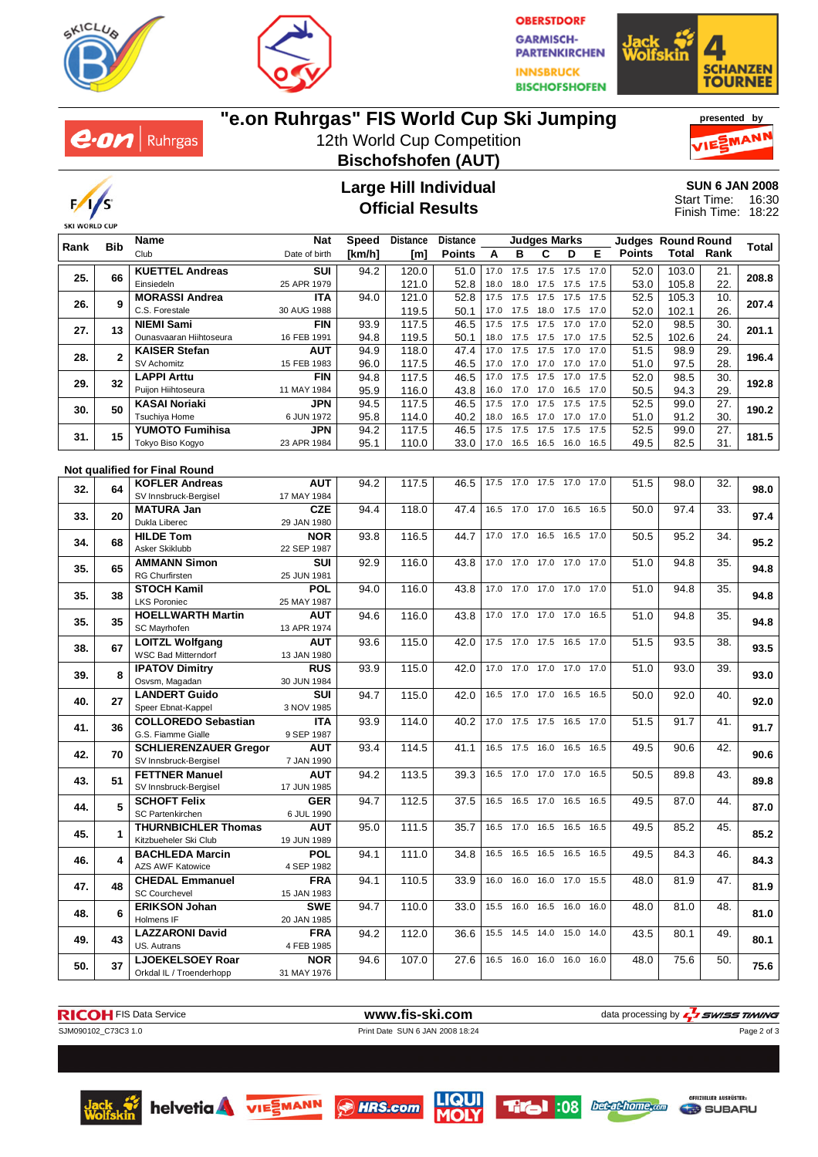



**OBERSTDORF GARMISCH-PARTENKIRCHEN INNSBRUCK BISCHOFSHOFEN** 





# **"e.on Ruhrgas" FIS World Cup Ski Jumping**

12th World Cup Competition **Bischofshofen (AUT)**





### **Large Hill Individual Official Results**

**SUN 6 JAN 2008** 16:30 18:22 Start Time: Finish Time:

| Rank | <b>Bib</b>   | <b>Name</b>                                           | <b>Nat</b>         | Speed  | <b>Distance</b> | <b>Distance</b> |      |                          | <b>Judges Marks</b> |           |      | <b>Judges Round Round</b> |       |      |       |
|------|--------------|-------------------------------------------------------|--------------------|--------|-----------------|-----------------|------|--------------------------|---------------------|-----------|------|---------------------------|-------|------|-------|
|      |              | Club                                                  | Date of birth      | [km/h] | [m]             | <b>Points</b>   | A    | в                        | С                   | D         | Е    | <b>Points</b>             | Total | Rank | Total |
|      |              | <b>KUETTEL Andreas</b>                                | SUI                | 94.2   | 120.0           | 51.0            | 17.0 | 17.5                     | 17.5                | 17.5      | 17.0 | 52.0                      | 103.0 | 21.  |       |
| 25.  | 66           | Einsiedeln                                            | 25 APR 1979        |        | 121.0           | 52.8            | 18.0 | 18.0                     | 17.5                | 17.5      | 17.5 | 53.0                      | 105.8 | 22.  | 208.8 |
|      |              | <b>MORASSI Andrea</b>                                 | <b>ITA</b>         | 94.0   | 121.0           | 52.8            | 17.5 | 17.5                     | 17.5                | 17.5      | 17.5 | 52.5                      | 105.3 | 10.  |       |
| 26.  | 9            | C.S. Forestale                                        | 30 AUG 1988        |        | 119.5           |                 | 17.0 | 17.5                     | 18.0                | 17.5      | 17.0 |                           | 102.1 | 26.  | 207.4 |
|      |              |                                                       |                    |        |                 | 50.1            |      | 17.5                     |                     | 17.0      | 17.0 | 52.0                      |       |      |       |
| 27.  | 13           | <b>NIEMI Sami</b>                                     | <b>FIN</b>         | 93.9   | 117.5           | 46.5            | 17.5 |                          | 17.5                |           |      | 52.0                      | 98.5  | 30.  | 201.1 |
|      |              | Ounasvaaran Hiihtoseura                               | 16 FEB 1991        | 94.8   | 119.5           | 50.1            | 18.0 | 17.5                     | 17.5                | 17.0      | 17.5 | 52.5                      | 102.6 | 24.  |       |
| 28.  | $\mathbf{2}$ | <b>KAISER Stefan</b>                                  | AUT                | 94.9   | 118.0           | 47.4            | 17.0 | 17.5                     | 17.5                | 17.0      | 17.0 | 51.5                      | 98.9  | 29.  | 196.4 |
|      |              | SV Achomitz                                           | 15 FEB 1983        | 96.0   | 117.5           | 46.5            | 17.0 | 17.0                     | 17.0                | 17.0      | 17.0 | 51.0                      | 97.5  | 28.  |       |
| 29.  | 32           | <b>LAPPI Arttu</b>                                    | <b>FIN</b>         | 94.8   | 117.5           | 46.5            | 17.0 | 17.5                     | 17.5                | 17.0      | 17.5 | 52.0                      | 98.5  | 30.  | 192.8 |
|      |              | Puijon Hiihtoseura                                    | 11 MAY 1984        | 95.9   | 116.0           | 43.8            | 16.0 | 17.0                     | 17.0                | 16.5      | 17.0 | 50.5                      | 94.3  | 29.  |       |
| 30.  | 50           | <b>KASAI Noriaki</b>                                  | <b>JPN</b>         | 94.5   | 117.5           | 46.5            | 17.5 | 17.0                     | 17.5                | 17.5      | 17.5 | 52.5                      | 99.0  | 27.  | 190.2 |
|      |              | Tsuchiya Home                                         | 6 JUN 1972         | 95.8   | 114.0           | 40.2            | 18.0 | 16.5                     | 17.0                | 17.0      | 17.0 | 51.0                      | 91.2  | 30.  |       |
| 31.  | 15           | <b>YUMOTO Fumihisa</b>                                | <b>JPN</b>         | 94.2   | 117.5           | 46.5            | 17.5 | 17.5                     | 17.5                | 17.5      | 17.5 | 52.5                      | 99.0  | 27.  | 181.5 |
|      |              | Tokyo Biso Kogyo                                      | 23 APR 1984        | 95.1   | 110.0           | 33.0            | 17.0 | 16.5                     | 16.5                | 16.0      | 16.5 | 49.5                      | 82.5  | 31.  |       |
|      |              |                                                       |                    |        |                 |                 |      |                          |                     |           |      |                           |       |      |       |
|      |              | Not qualified for Final Round                         |                    |        |                 |                 |      |                          |                     |           |      |                           |       |      |       |
| 32.  | 64           | <b>KOFLER Andreas</b>                                 | <b>AUT</b>         | 94.2   | 117.5           | 46.5            | 17.5 | 17.0                     | 17.5                | 17.0 17.0 |      | 51.5                      | 98.0  | 32.  | 98.0  |
|      |              | SV Innsbruck-Bergisel                                 | 17 MAY 1984        |        |                 |                 |      |                          |                     |           |      |                           |       |      |       |
|      | 20           | <b>MATURA Jan</b>                                     | <b>CZE</b>         | 94.4   | 118.0           | 47.4            |      | 16.5 17.0 17.0 16.5 16.5 |                     |           |      | 50.0                      | 97.4  | 33.  | 97.4  |
| 33.  |              | Dukla Liberec                                         | 29 JAN 1980        |        |                 |                 |      |                          |                     |           |      |                           |       |      |       |
|      |              | <b>HILDE Tom</b>                                      | <b>NOR</b>         | 93.8   | 116.5           | 44.7            |      | 17.0 17.0 16.5 16.5 17.0 |                     |           |      | 50.5                      | 95.2  | 34.  |       |
| 34.  | 68           | Asker Skiklubb                                        | 22 SEP 1987        |        |                 |                 |      |                          |                     |           |      |                           |       |      | 95.2  |
| 35.  |              | <b>AMMANN Simon</b>                                   | <b>SUI</b>         | 92.9   | 116.0           | 43.8            | 17.0 | 17.0                     | 17.0                | 17.0      | 17.0 | 51.0                      | 94.8  | 35.  |       |
|      | 65           | <b>RG Churfirsten</b>                                 | 25 JUN 1981        |        |                 |                 |      |                          |                     |           |      |                           |       |      | 94.8  |
| 35.  |              | <b>STOCH Kamil</b>                                    | <b>POL</b>         | 94.0   | 116.0           | 43.8            |      | 17.0 17.0 17.0 17.0 17.0 |                     |           |      | 51.0                      | 94.8  | 35.  |       |
|      | 38           | <b>LKS Poroniec</b>                                   | 25 MAY 1987        |        |                 |                 |      |                          |                     |           |      |                           |       |      | 94.8  |
| 35.  | 35           | <b>HOELLWARTH Martin</b>                              | <b>AUT</b>         | 94.6   | 116.0           | 43.8            |      | 17.0 17.0 17.0 17.0      |                     |           | 16.5 | 51.0                      | 94.8  | 35.  |       |
|      |              | SC Mayrhofen                                          | 13 APR 1974        |        |                 |                 |      |                          |                     |           |      |                           |       |      | 94.8  |
| 38.  | 67           | <b>LOITZL Wolfgang</b>                                | <b>AUT</b>         | 93.6   | 115.0           | 42.0            |      | 17.5 17.0 17.5 16.5      |                     |           | 17.0 | 51.5                      | 93.5  | 38.  |       |
|      |              | <b>WSC Bad Mitterndorf</b>                            | 13 JAN 1980        |        |                 |                 |      |                          |                     |           |      |                           |       |      | 93.5  |
|      |              | <b>IPATOV Dimitry</b>                                 | <b>RUS</b>         | 93.9   | 115.0           | 42.0            |      | 17.0 17.0 17.0 17.0 17.0 |                     |           |      | 51.0                      | 93.0  | 39.  |       |
| 39.  | 8            | Osvsm, Magadan                                        | 30 JUN 1984        |        |                 |                 |      |                          |                     |           |      |                           |       |      | 93.0  |
|      |              | <b>LANDERT Guido</b>                                  | <b>SUI</b>         | 94.7   | 115.0           | 42.0            |      | 16.5 17.0                | 17.0                | 16.5      | 16.5 | 50.0                      | 92.0  | 40.  |       |
| 40.  | 27           | Speer Ebnat-Kappel                                    | 3 NOV 1985         |        |                 |                 |      |                          |                     |           |      |                           |       |      | 92.0  |
|      |              | <b>COLLOREDO Sebastian</b>                            | <b>ITA</b>         | 93.9   | 114.0           | 40.2            | 17.0 | 17.5                     | 17.5                | 16.5      | 17.0 | 51.5                      | 91.7  | 41.  |       |
| 41.  | 36           | G.S. Fiamme Gialle                                    | 9 SEP 1987         |        |                 |                 |      |                          |                     |           |      |                           |       |      | 91.7  |
|      |              |                                                       |                    |        |                 |                 |      |                          |                     |           |      |                           |       |      |       |
| 42.  | 70           | <b>SCHLIERENZAUER Gregor</b><br>SV Innsbruck-Bergisel | AUT                | 93.4   | 114.5           | 41.1            |      | 16.5 17.5 16.0           |                     | 16.5 16.5 |      | 49.5                      | 90.6  | 42.  | 90.6  |
|      |              | <b>FETTNER Manuel</b>                                 | 7 JAN 1990         |        | 113.5           |                 |      | 16.5 17.0 17.0 17.0      |                     |           | 16.5 |                           |       |      |       |
| 43.  | 51           | SV Innsbruck-Bergisel                                 | AUT<br>17 JUN 1985 | 94.2   |                 | 39.3            |      |                          |                     |           |      | 50.5                      | 89.8  | 43.  | 89.8  |
|      |              | <b>SCHOFT Felix</b>                                   | <b>GER</b>         |        | 112.5           |                 |      |                          |                     |           |      |                           |       |      |       |
| 44.  | 5            |                                                       |                    | 94.7   |                 | 37.5            |      | 16.5 16.5 17.0 16.5      |                     |           | 16.5 | 49.5                      | 87.0  | 44.  | 87.0  |
| 45.  |              | <b>SC Partenkirchen</b>                               | 6 JUL 1990         |        |                 |                 |      |                          |                     |           |      |                           |       |      |       |
|      | 1            | <b>THURNBICHLER Thomas</b>                            | AUT                | 95.0   | 111.5           | 35.7            |      | 16.5 17.0 16.5 16.5      |                     |           | 16.5 | 49.5                      | 85.2  | 45.  | 85.2  |
| 46.  |              | Kitzbueheler Ski Club                                 | 19 JUN 1989        |        |                 |                 |      |                          |                     |           |      |                           |       |      |       |
|      | 4            | <b>BACHLEDA Marcin</b>                                | <b>POL</b>         | 94.1   | 111.0           | 34.8            |      | 16.5 16.5 16.5 16.5 16.5 |                     |           |      | 49.5                      | 84.3  | 46.  | 84.3  |
|      |              | AZS AWF Katowice                                      | 4 SEP 1982         |        |                 |                 |      |                          |                     |           |      |                           |       |      |       |
| 47.  | 48           | <b>CHEDAL Emmanuel</b>                                | <b>FRA</b>         | 94.1   | 110.5           | 33.9            |      | 16.0 16.0 16.0 17.0 15.5 |                     |           |      | 48.0                      | 81.9  | 47.  | 81.9  |
|      |              | <b>SC Courchevel</b>                                  | 15 JAN 1983        |        |                 |                 |      |                          |                     |           |      |                           |       |      |       |
| 48.  | 6            | <b>ERIKSON Johan</b>                                  | <b>SWE</b>         | 94.7   | 110.0           | 33.0            |      | 15.5 16.0 16.5 16.0 16.0 |                     |           |      | 48.0                      | 81.0  | 48.  | 81.0  |
|      |              | Holmens IF                                            | 20 JAN 1985        |        |                 |                 |      |                          |                     |           |      |                           |       |      |       |
| 49.  | 43           | <b>LAZZARONI David</b>                                | <b>FRA</b>         | 94.2   | 112.0           | 36.6            |      | 15.5 14.5 14.0 15.0 14.0 |                     |           |      | 43.5                      | 80.1  | 49.  | 80.1  |
|      |              | US. Autrans                                           | 4 FEB 1985         |        |                 |                 |      |                          |                     |           |      |                           |       |      |       |
|      |              | <b>LJOEKELSOEY Roar</b>                               | <b>NOR</b>         | 94.6   | 107.0           | 27.6            |      | 16.5 16.0 16.0 16.0 16.0 |                     |           |      | 48.0                      | 75.6  | 50.  |       |
| 50.  | 37           | Orkdal IL / Troenderhopp                              | 31 MAY 1976        |        |                 |                 |      |                          |                     |           |      |                           |       |      | 75.6  |

**RICOH** FIS Data Service **www.fis-ski.com** data processing by  $\frac{7}{2}$  SWISS TIMING SJM090102\_C73C3 1.0 Print Date SUN 6 JAN 2008 18:24 Page 2 of 3

helvetia VIE MANN SHRS.com